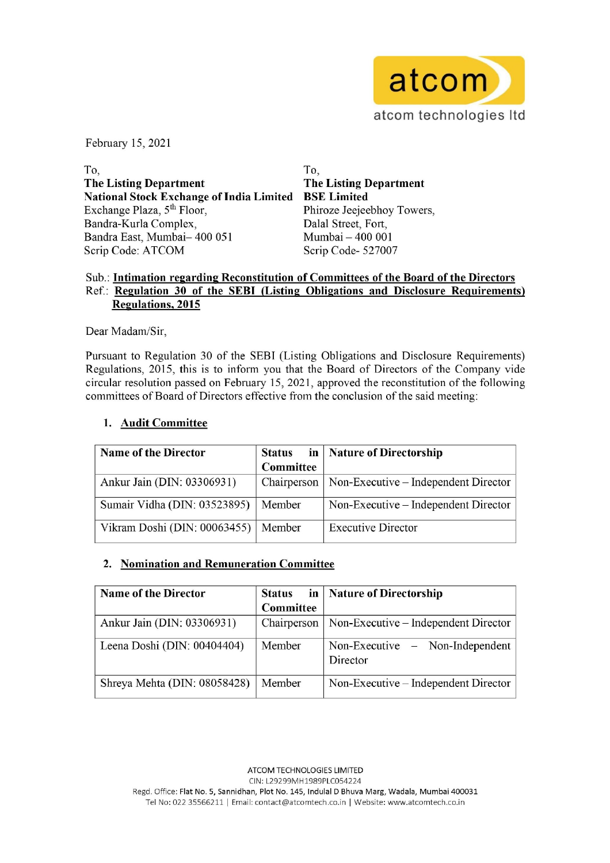

February 15, 2021

 $\Gamma$ o,  $\Gamma$ o,  $\Gamma$ o,  $\Gamma$ o,  $\Gamma$ o,  $\Gamma$ o,  $\Gamma$ o,  $\Gamma$ o,  $\Gamma$ o,  $\Gamma$ o,  $\Gamma$ o,  $\Gamma$ o,  $\Gamma$ o,  $\Gamma$ o,  $\Gamma$ o,  $\Gamma$ o,  $\Gamma$ o,  $\Gamma$ o,  $\Gamma$ o,  $\Gamma$ o,  $\Gamma$ o,  $\Gamma$ o,  $\Gamma$ o,  $\Gamma$ o,  $\Gamma$ o,  $\Gamma$ o,  $\Gamma$ o,  $\Gamma$ o,  $\Gamma$ o,  $\Gamma$ o,  $\Gamma$ o,  $\Gamma$ The Listing Department The Listing Department National Stock Exchange of India Limited BSE Limited Exchange Plaza, 5<sup>th</sup> Floor, Phiroze Jeejeebhoy Towers, Bandra-Kurla Complex, Dalal Street, Fort, Bandra East, Mumbai- 400 051 Mumbai - 400 001 Scrip Code: ATCOM Scrip Code- 527007 Example 15, 2021<br>
Solutional Stock Exchange of India Limited<br>
schange Plaza,  $5^{\text{th}}$  Floor,<br>
sincinal Stock Exchange of India Limited<br>
schange Plaza,  $5^{\text{th}}$  Floor,<br>
sincinal Complex,<br>
sincinal Complex,<br>
sincinal Comp Example 15, 2021<br>
2021<br>
2021<br>
2021<br>
2021<br>
2021<br>
2021<br>
2021<br>
2021<br>
2021<br>
2021<br>
2021<br>
2021<br>
2031<br>
2031<br>
2031<br>
2031<br>
2031<br>
2031<br>
2031<br>
2015<br>
2015<br>
2015<br>
2021<br>
2015<br>
2021<br>
2015<br>
2021<br>
2015<br>
2021<br>
2015<br>
2021<br>
2021<br>
2015<br>
2021<br> Example 15, 2021<br>
2021<br>
2021<br>
2021<br>
2021<br>
2021<br>
2021<br>
2021<br>
2021<br>
2021<br>
2021<br>
2021<br>
2031<br>
2031<br>
2031<br>
2031<br>
2031<br>
2031<br>
2031<br>
2031<br>
2031<br>
2031<br>
2031<br>
2031<br>
2031<br>
2031<br>
2031<br>
2031<br>
2031<br>
2031<br>
2031<br>
2031<br>
2031<br>
2031<br>
2031<br> bruary 15, 2021<br>
2021<br>
2021<br>
2021<br>
2021<br>
2021<br>
2021<br>
2021<br>
2021<br>
2021<br>
2021<br>
2021<br>
2021<br>
2031<br>
2031<br>
2031<br>
2031<br>
2031<br>
2031<br>
2015<br>
2015<br>
2015<br>
2015<br>
2015<br>
2015<br>
2015<br>
2015<br>
2015<br>
2021<br>
2015<br>
2021<br>
2021<br>
2021<br>
2021<br>
2021<br>
2

### Sub.: Intimation regarding Reconstitution of Committees of the Board of the Directors Ref.: Regulation 30 of the SEBI (Listing Obligations and Disclosure Requirements) Regulations, 2015

Dear Madam/Sir,

## 1. Audit Committee

| э,                                                                                 | 10,                 |                                                                                            |  |  |
|------------------------------------------------------------------------------------|---------------------|--------------------------------------------------------------------------------------------|--|--|
| he Listing Department                                                              |                     | <b>The Listing Department</b>                                                              |  |  |
| ational Stock Exchange of India Limited                                            |                     | <b>BSE Limited</b>                                                                         |  |  |
| xchange Plaza, 5 <sup>th</sup> Floor,                                              |                     | Phiroze Jeejeebhoy Towers,                                                                 |  |  |
| andra-Kurla Complex,                                                               |                     | Dalal Street, Fort,                                                                        |  |  |
| andra East, Mumbai- 400 051                                                        |                     | Mumbai - 400 001                                                                           |  |  |
| crip Code: ATCOM                                                                   |                     | Scrip Code-527007                                                                          |  |  |
|                                                                                    |                     |                                                                                            |  |  |
|                                                                                    |                     | ub.: Intimation regarding Reconstitution of Committees of the Board of the Directors       |  |  |
| ef.: Regulation 30 of the SEBI (Listing Obligations and Disclosure Requirements    |                     |                                                                                            |  |  |
| <b>Regulations, 2015</b>                                                           |                     |                                                                                            |  |  |
|                                                                                    |                     |                                                                                            |  |  |
| ear Madam/Sir,                                                                     |                     |                                                                                            |  |  |
|                                                                                    |                     |                                                                                            |  |  |
|                                                                                    |                     | ursuant to Regulation 30 of the SEBI (Listing Obligations and Disclosure Requirement       |  |  |
|                                                                                    |                     | egulations, 2015, this is to inform you that the Board of Directors of the Company vic     |  |  |
|                                                                                    |                     | rcular resolution passed on February 15, 2021, approved the reconstitution of the followin |  |  |
| ommittees of Board of Directors effective from the conclusion of the said meeting: |                     |                                                                                            |  |  |
|                                                                                    |                     |                                                                                            |  |  |
| 1. Audit Committee                                                                 |                     |                                                                                            |  |  |
|                                                                                    |                     |                                                                                            |  |  |
| <b>Name of the Director</b>                                                        | in<br><b>Status</b> | <b>Nature of Directorship</b>                                                              |  |  |
|                                                                                    | Committee           |                                                                                            |  |  |
|                                                                                    |                     |                                                                                            |  |  |
| Ankur Jain (DIN: 03306931)                                                         | Chairperson         | Non-Executive - Independent Director                                                       |  |  |
| Sumair Vidha (DIN: 03523895)                                                       | Member              | Non-Executive – Independent Director                                                       |  |  |
|                                                                                    |                     |                                                                                            |  |  |
| Vikram Doshi (DIN: 00063455)                                                       | Member              | <b>Executive Director</b>                                                                  |  |  |
|                                                                                    |                     |                                                                                            |  |  |
|                                                                                    |                     |                                                                                            |  |  |
| <b>Nomination and Remuneration Committee</b><br>2.                                 |                     |                                                                                            |  |  |
|                                                                                    |                     |                                                                                            |  |  |
|                                                                                    |                     |                                                                                            |  |  |
| <b>Name of the Director</b>                                                        | <b>Status</b><br>in | <b>Nature of Directorship</b>                                                              |  |  |
|                                                                                    | <b>Committee</b>    |                                                                                            |  |  |
|                                                                                    |                     |                                                                                            |  |  |
| Ankur Jain (DIN: 03306931)                                                         | Chairperson         | Non-Executive – Independent Director                                                       |  |  |
| Leena Doshi (DIN: 00404404)                                                        | Member              | Non-Executive $-$<br>Non-Independent                                                       |  |  |
|                                                                                    |                     | Director                                                                                   |  |  |

## 2. Nomination and Remuneration Committee

| <b>Name of the Director</b>  | Status      | in   Nature of Directorship                   |
|------------------------------|-------------|-----------------------------------------------|
|                              | Committee   |                                               |
| Ankur Jain (DIN: 03306931)   | Chairperson | Non-Executive – Independent Director          |
| Leena Doshi (DIN: 00404404)  | Member      | Non-Executive $-$ Non-Independent<br>Director |
| Shreya Mehta (DIN: 08058428) | Member      | Non-Executive – Independent Director          |